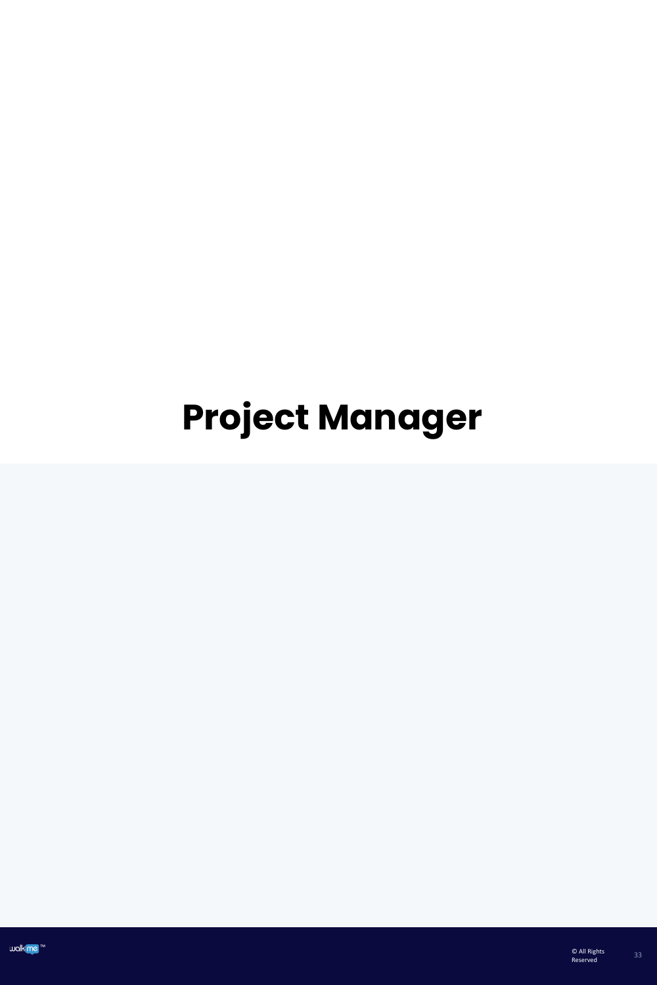# **Project Manager**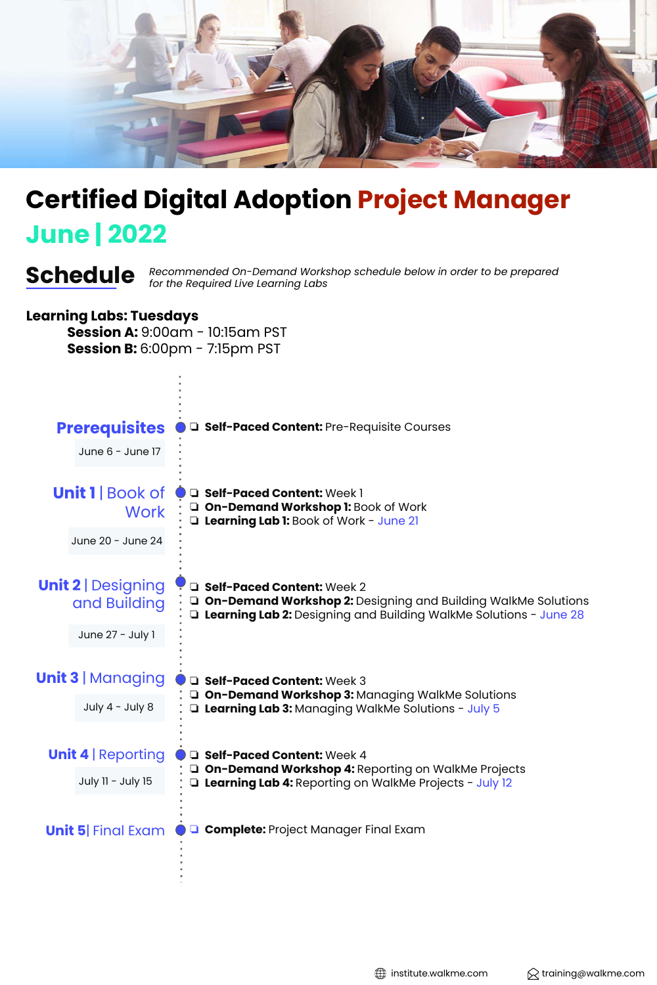

### **June | 2022 Certified Digital Adoption Project Manager**

*Recommended On-Demand Workshop schedule below in order to be prepared* **Schedule** *for the Required Live Learning Labs*

#### **Learning Labs: Tuesdays**

**Session A:** 9:00am - 10:15am PST **Session B:** 6:00pm - 7:15pm PST

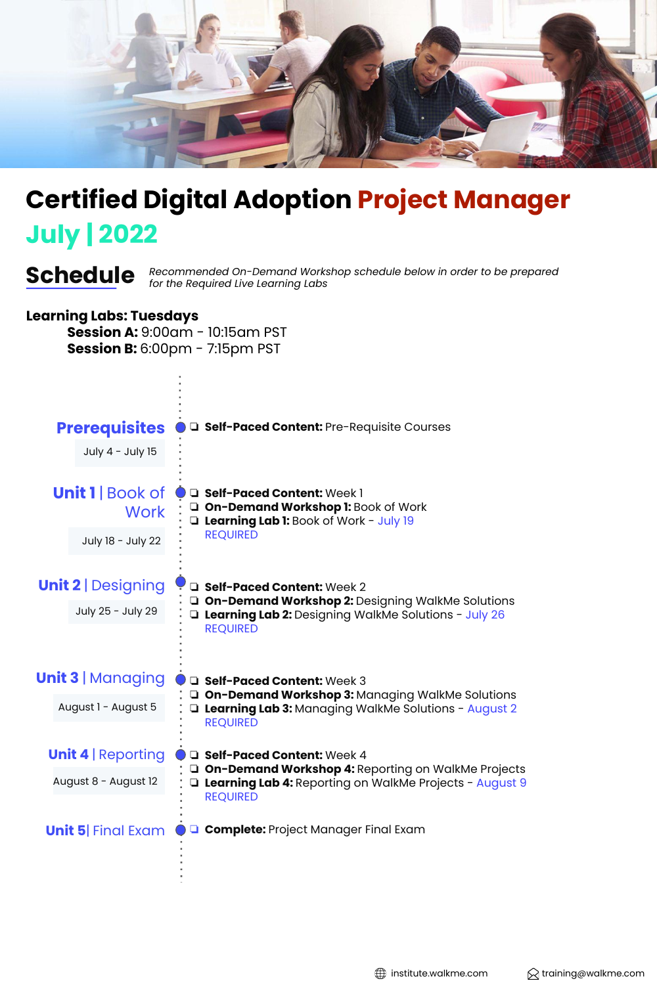

## **July | 2022 Certified Digital Adoption Project Manager**

*Recommended On-Demand Workshop schedule below in order to be prepared* **Schedule** *for the Required Live Learning Labs*

#### **Learning Labs: Tuesdays**

**Session A:** 9:00am - 10:15am PST **Session B:** 6:00pm - 7:15pm PST



 $\bigoplus$  institute.walkme.com  $\bigotimes$  training@walkme.com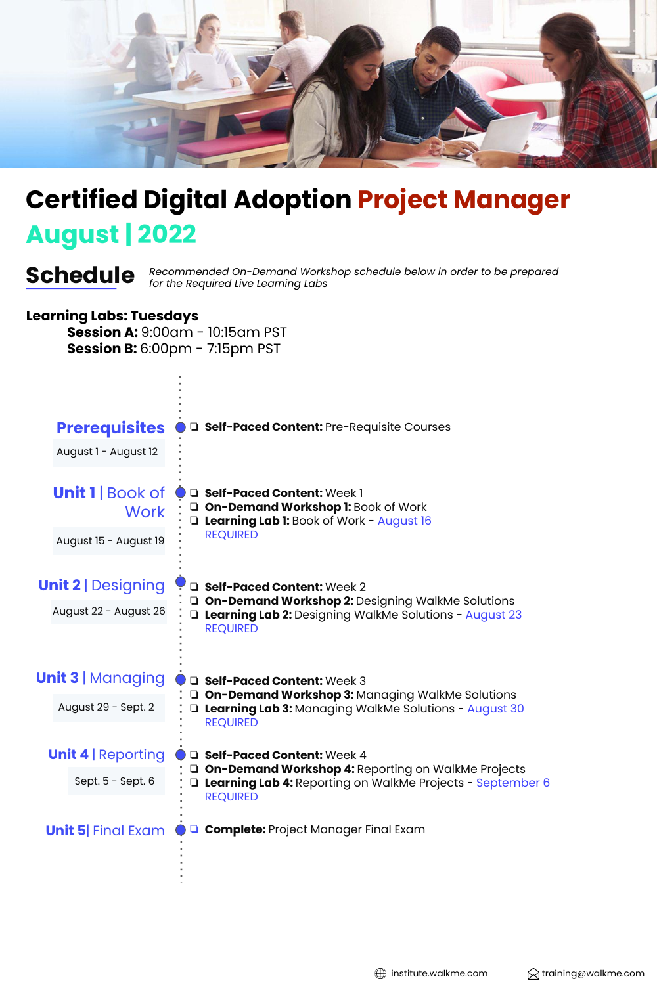

## **August | 2022 Certified Digital Adoption Project Manager**

*Recommended On-Demand Workshop schedule below in order to be prepared* **Schedule** *for the Required Live Learning Labs*

#### **Learning Labs: Tuesdays**

**Session A:** 9:00am - 10:15am PST **Session B:** 6:00pm - 7:15pm PST